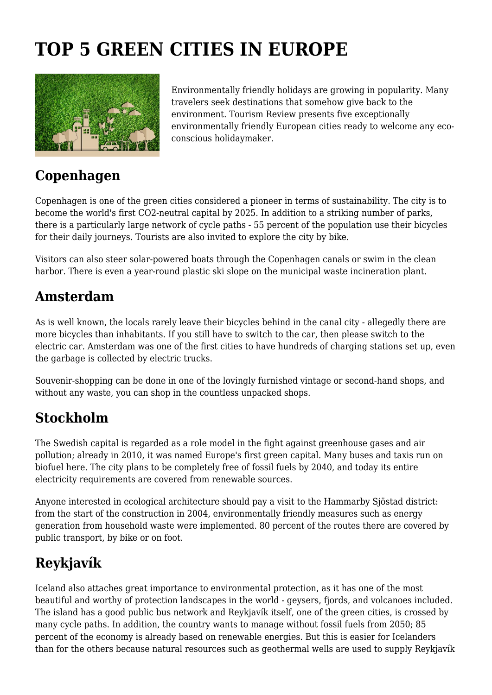# **TOP 5 GREEN CITIES IN EUROPE**



Environmentally friendly holidays are growing in popularity. Many travelers seek destinations that somehow give back to the environment. Tourism Review presents five exceptionally environmentally friendly European cities ready to welcome any ecoconscious holidaymaker.

### **Copenhagen**

Copenhagen is one of the green cities considered a pioneer in terms of sustainability. The city is to become the world's first CO2-neutral capital by 2025. In addition to a striking number of parks, there is a particularly large network of cycle paths - 55 percent of the population use their bicycles for their daily journeys. Tourists are also invited to explore the city by bike.

Visitors can also steer solar-powered boats through the Copenhagen canals or swim in the clean harbor. There is even a year-round plastic ski slope on the municipal waste incineration plant.

#### **Amsterdam**

As is well known, the locals rarely leave their bicycles behind in the canal city - allegedly there are more bicycles than inhabitants. If you still have to switch to the car, then please switch to the electric car. Amsterdam was one of the first cities to have hundreds of charging stations set up, even the garbage is collected by electric trucks.

Souvenir-shopping can be done in one of the lovingly furnished vintage or second-hand shops, and without any waste, you can shop in the countless unpacked shops.

#### **Stockholm**

The Swedish capital is regarded as a role model in the fight against greenhouse gases and air pollution; already in 2010, it was named Europe's first green capital. Many buses and taxis run on biofuel here. The city plans to be completely free of fossil fuels by 2040, and today its entire electricity requirements are covered from renewable sources.

Anyone interested in ecological architecture should pay a visit to the Hammarby Sjöstad district: from the start of the construction in 2004, environmentally friendly measures such as energy generation from household waste were implemented. 80 percent of the routes there are covered by public transport, by bike or on foot.

## **Reykjavík**

Iceland also attaches great importance to environmental protection, as it has one of the most beautiful and worthy of protection landscapes in the world - geysers, fjords, and volcanoes included. The island has a good public bus network and Reykjavík itself, one of the green cities, is crossed by many cycle paths. In addition, the country wants to manage without fossil fuels from 2050; 85 percent of the economy is already based on renewable energies. But this is easier for Icelanders than for the others because natural resources such as geothermal wells are used to supply Reykjavík